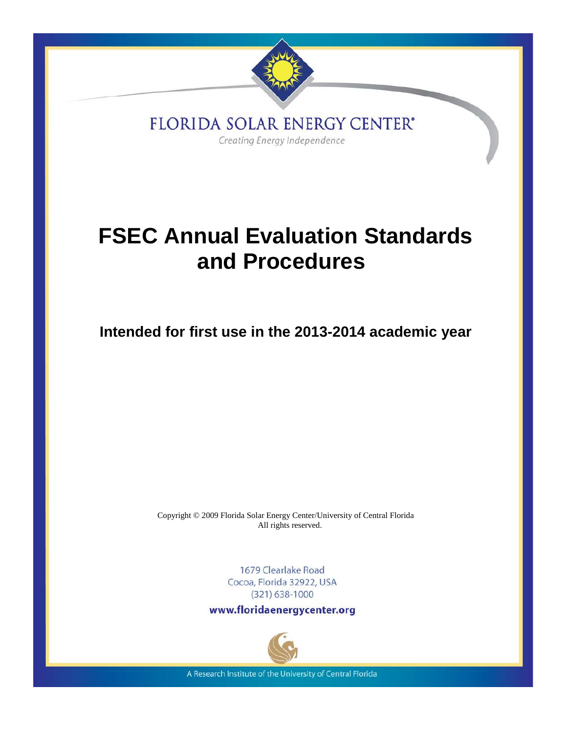

FLORIDA SOLAR ENERGY CENTER\* Creating Energy Independence

# **FSEC Annual Evaluation Standards and Procedures**

**Intended for first use in the 2013-2014 academic year**

Copyright © 2009 Florida Solar Energy Center/University of Central Florida All rights reserved.

> 1679 Clearlake Road Cocoa, Florida 32922, USA  $(321)$  638-1000

www.floridaenergycenter.org



A Research Institute of the University of Central Florida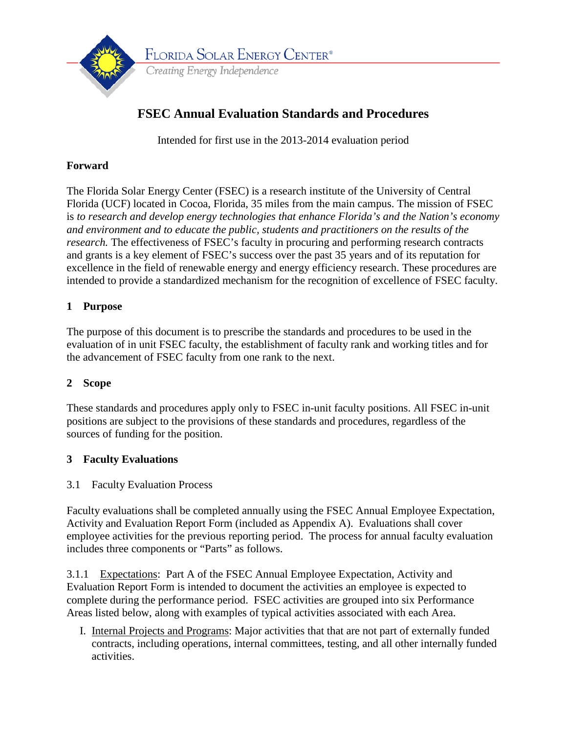

Intended for first use in the 2013-2014 evaluation period

# **Forward**

The Florida Solar Energy Center (FSEC) is a research institute of the University of Central Florida (UCF) located in Cocoa, Florida, 35 miles from the main campus. The mission of FSEC is *to research and develop energy technologies that enhance Florida's and the Nation's economy and environment and to educate the public, students and practitioners on the results of the research*. The effectiveness of FSEC's faculty in procuring and performing research contracts and grants is a key element of FSEC's success over the past 35 years and of its reputation for excellence in the field of renewable energy and energy efficiency research. These procedures are intended to provide a standardized mechanism for the recognition of excellence of FSEC faculty.

# **1 Purpose**

The purpose of this document is to prescribe the standards and procedures to be used in the evaluation of in unit FSEC faculty, the establishment of faculty rank and working titles and for the advancement of FSEC faculty from one rank to the next.

# **2 Scope**

These standards and procedures apply only to FSEC in-unit faculty positions. All FSEC in-unit positions are subject to the provisions of these standards and procedures, regardless of the sources of funding for the position.

# **3 Faculty Evaluations**

# 3.1 Faculty Evaluation Process

Faculty evaluations shall be completed annually using the FSEC Annual Employee Expectation, Activity and Evaluation Report Form (included as Appendix A). Evaluations shall cover employee activities for the previous reporting period. The process for annual faculty evaluation includes three components or "Parts" as follows.

3.1.1 Expectations: Part A of the FSEC Annual Employee Expectation, Activity and Evaluation Report Form is intended to document the activities an employee is expected to complete during the performance period. FSEC activities are grouped into six Performance Areas listed below, along with examples of typical activities associated with each Area.

I. Internal Projects and Programs: Major activities that that are not part of externally funded contracts, including operations, internal committees, testing, and all other internally funded activities.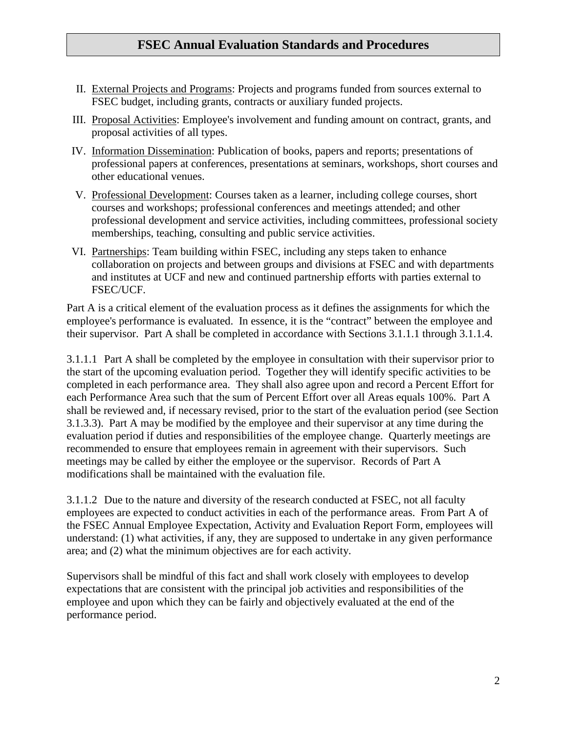- II. External Projects and Programs: Projects and programs funded from sources external to FSEC budget, including grants, contracts or auxiliary funded projects.
- III. Proposal Activities: Employee's involvement and funding amount on contract, grants, and proposal activities of all types.
- IV. Information Dissemination: Publication of books, papers and reports; presentations of professional papers at conferences, presentations at seminars, workshops, short courses and other educational venues.
- V. Professional Development: Courses taken as a learner, including college courses, short courses and workshops; professional conferences and meetings attended; and other professional development and service activities, including committees, professional society memberships, teaching, consulting and public service activities.
- VI. Partnerships: Team building within FSEC, including any steps taken to enhance collaboration on projects and between groups and divisions at FSEC and with departments and institutes at UCF and new and continued partnership efforts with parties external to FSEC/UCF.

Part A is a critical element of the evaluation process as it defines the assignments for which the employee's performance is evaluated. In essence, it is the "contract" between the employee and their supervisor. Part A shall be completed in accordance with Sections 3.1.1.1 through 3.1.1.4.

3.1.1.1 Part A shall be completed by the employee in consultation with their supervisor prior to the start of the upcoming evaluation period. Together they will identify specific activities to be completed in each performance area. They shall also agree upon and record a Percent Effort for each Performance Area such that the sum of Percent Effort over all Areas equals 100%. Part A shall be reviewed and, if necessary revised, prior to the start of the evaluation period (see Section 3.1.3.3). Part A may be modified by the employee and their supervisor at any time during the evaluation period if duties and responsibilities of the employee change. Quarterly meetings are recommended to ensure that employees remain in agreement with their supervisors. Such meetings may be called by either the employee or the supervisor. Records of Part A modifications shall be maintained with the evaluation file.

3.1.1.2 Due to the nature and diversity of the research conducted at FSEC, not all faculty employees are expected to conduct activities in each of the performance areas. From Part A of the FSEC Annual Employee Expectation, Activity and Evaluation Report Form, employees will understand: (1) what activities, if any, they are supposed to undertake in any given performance area; and (2) what the minimum objectives are for each activity.

Supervisors shall be mindful of this fact and shall work closely with employees to develop expectations that are consistent with the principal job activities and responsibilities of the employee and upon which they can be fairly and objectively evaluated at the end of the performance period.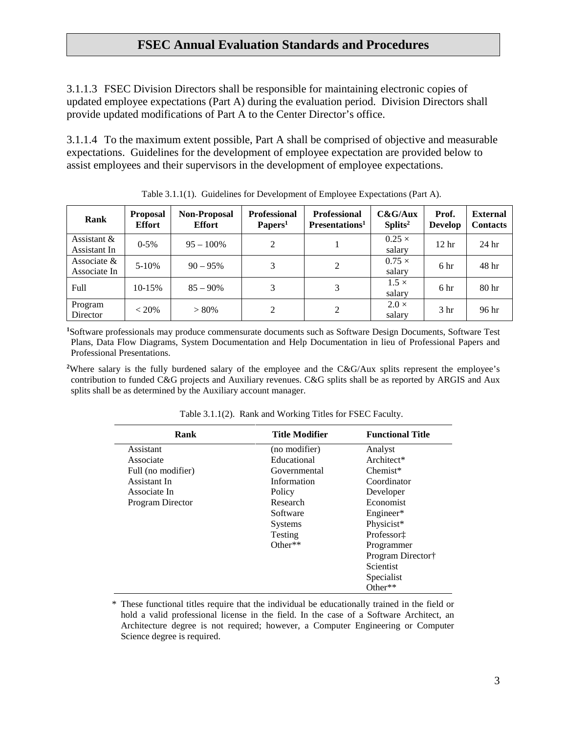3.1.1.3 FSEC Division Directors shall be responsible for maintaining electronic copies of updated employee expectations (Part A) during the evaluation period. Division Directors shall provide updated modifications of Part A to the Center Director's office.

3.1.1.4 To the maximum extent possible, Part A shall be comprised of objective and measurable expectations. Guidelines for the development of employee expectation are provided below to assist employees and their supervisors in the development of employee expectations.

| Rank                           | <b>Proposal</b><br><b>Effort</b> | <b>Non-Proposal</b><br><b>Effort</b> | <b>Professional</b><br>Papers <sup>1</sup> | <b>Professional</b><br>Presentations <sup>1</sup> | C&G/Aux<br>Splits <sup>2</sup> | Prof.<br><b>Develop</b> | <b>External</b><br><b>Contacts</b> |
|--------------------------------|----------------------------------|--------------------------------------|--------------------------------------------|---------------------------------------------------|--------------------------------|-------------------------|------------------------------------|
| Assistant $&$<br>Assistant In  | $0 - 5\%$                        | $95 - 100\%$                         | 2                                          |                                                   | $0.25 \times$<br>salary        | 12 <sub>hr</sub>        | 24 <sub>hr</sub>                   |
| Associate $\&$<br>Associate In | $5-10%$                          | $90 - 95\%$                          | 3                                          | 2                                                 | $0.75 \times$<br>salary        | 6 <sup>h</sup> r        | 48 <sup>h</sup>                    |
| Full                           | 10-15%                           | $85 - 90\%$                          | 3                                          | 3                                                 | $1.5 \times$<br>salary         | 6 hr                    | 80 <sub>hr</sub>                   |
| Program<br>Director            | $< 20\%$                         | $> 80\%$                             | 2                                          | 2                                                 | $2.0 \times$<br>salary         | 3 <sub>hr</sub>         | 96 hr                              |

Table 3.1.1(1). Guidelines for Development of Employee Expectations (Part A).

**1** Software professionals may produce commensurate documents such as Software Design Documents, Software Test Plans, Data Flow Diagrams, System Documentation and Help Documentation in lieu of Professional Papers and Professional Presentations.

<sup>2</sup>Where salary is the fully burdened salary of the employee and the C&G/Aux splits represent the employee's contribution to funded C&G projects and Auxiliary revenues. C&G splits shall be as reported by ARGIS and Aux splits shall be as determined by the Auxiliary account manager.

| Rank               | <b>Title Modifier</b> | <b>Functional Title</b> |
|--------------------|-----------------------|-------------------------|
| Assistant          | (no modifier)         | Analyst                 |
| Associate          | Educational           | Architect*              |
| Full (no modifier) | Governmental          | $Chemist*$              |
| Assistant In       | Information           | Coordinator             |
| Associate In       | Policy                | Developer               |
| Program Director   | Research              | Economist               |
|                    | Software              | Engineer*               |
|                    | <b>Systems</b>        | Physicist*              |
|                    | Testing               | Professor‡              |
|                    | Other $**$            | Programmer              |
|                    |                       | Program Director†       |
|                    |                       | Scientist               |
|                    |                       | Specialist              |
|                    |                       | Other**                 |

Table 3.1.1(2). Rank and Working Titles for FSEC Faculty.

\* These functional titles require that the individual be educationally trained in the field or hold a valid professional license in the field. In the case of a Software Architect, an Architecture degree is not required; however, a Computer Engineering or Computer Science degree is required.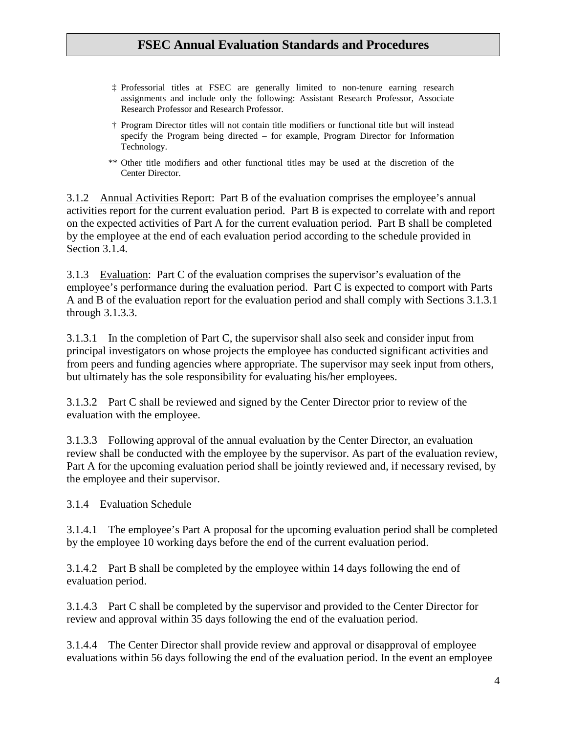- ‡ Professorial titles at FSEC are generally limited to non-tenure earning research assignments and include only the following: Assistant Research Professor, Associate Research Professor and Research Professor.
- † Program Director titles will not contain title modifiers or functional title but will instead specify the Program being directed – for example, Program Director for Information Technology.
- \*\* Other title modifiers and other functional titles may be used at the discretion of the Center Director.

3.1.2 Annual Activities Report: Part B of the evaluation comprises the employee's annual activities report for the current evaluation period. Part B is expected to correlate with and report on the expected activities of Part A for the current evaluation period. Part B shall be completed by the employee at the end of each evaluation period according to the schedule provided in Section 3.1.4.

3.1.3 Evaluation: Part C of the evaluation comprises the supervisor's evaluation of the employee's performance during the evaluation period. Part C is expected to comport with Parts A and B of the evaluation report for the evaluation period and shall comply with Sections 3.1.3.1 through 3.1.3.3.

3.1.3.1 In the completion of Part C, the supervisor shall also seek and consider input from principal investigators on whose projects the employee has conducted significant activities and from peers and funding agencies where appropriate. The supervisor may seek input from others, but ultimately has the sole responsibility for evaluating his/her employees.

3.1.3.2 Part C shall be reviewed and signed by the Center Director prior to review of the evaluation with the employee.

3.1.3.3 Following approval of the annual evaluation by the Center Director, an evaluation review shall be conducted with the employee by the supervisor. As part of the evaluation review, Part A for the upcoming evaluation period shall be jointly reviewed and, if necessary revised, by the employee and their supervisor.

3.1.4 Evaluation Schedule

3.1.4.1 The employee's Part A proposal for the upcoming evaluation period shall be completed by the employee 10 working days before the end of the current evaluation period.

3.1.4.2 Part B shall be completed by the employee within 14 days following the end of evaluation period.

3.1.4.3 Part C shall be completed by the supervisor and provided to the Center Director for review and approval within 35 days following the end of the evaluation period.

3.1.4.4 The Center Director shall provide review and approval or disapproval of employee evaluations within 56 days following the end of the evaluation period. In the event an employee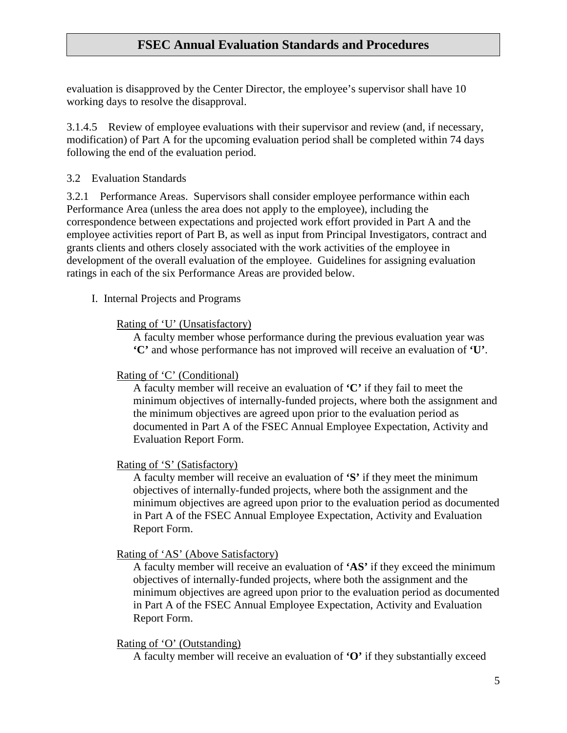evaluation is disapproved by the Center Director, the employee's supervisor shall have 10 working days to resolve the disapproval.

3.1.4.5 Review of employee evaluations with their supervisor and review (and, if necessary, modification) of Part A for the upcoming evaluation period shall be completed within 74 days following the end of the evaluation period.

## 3.2 Evaluation Standards

3.2.1 Performance Areas. Supervisors shall consider employee performance within each Performance Area (unless the area does not apply to the employee), including the correspondence between expectations and projected work effort provided in Part A and the employee activities report of Part B, as well as input from Principal Investigators, contract and grants clients and others closely associated with the work activities of the employee in development of the overall evaluation of the employee. Guidelines for assigning evaluation ratings in each of the six Performance Areas are provided below.

I. Internal Projects and Programs

#### Rating of 'U' (Unsatisfactory)

A faculty member whose performance during the previous evaluation year was **'C'** and whose performance has not improved will receive an evaluation of **'U'**.

## Rating of 'C' (Conditional)

A faculty member will receive an evaluation of **'C'** if they fail to meet the minimum objectives of internally-funded projects, where both the assignment and the minimum objectives are agreed upon prior to the evaluation period as documented in Part A of the FSEC Annual Employee Expectation, Activity and Evaluation Report Form.

## Rating of 'S' (Satisfactory)

A faculty member will receive an evaluation of **'S'** if they meet the minimum objectives of internally-funded projects, where both the assignment and the minimum objectives are agreed upon prior to the evaluation period as documented in Part A of the FSEC Annual Employee Expectation, Activity and Evaluation Report Form.

## Rating of 'AS' (Above Satisfactory)

A faculty member will receive an evaluation of **'AS'** if they exceed the minimum objectives of internally-funded projects, where both the assignment and the minimum objectives are agreed upon prior to the evaluation period as documented in Part A of the FSEC Annual Employee Expectation, Activity and Evaluation Report Form.

#### Rating of 'O' (Outstanding)

A faculty member will receive an evaluation of **'O'** if they substantially exceed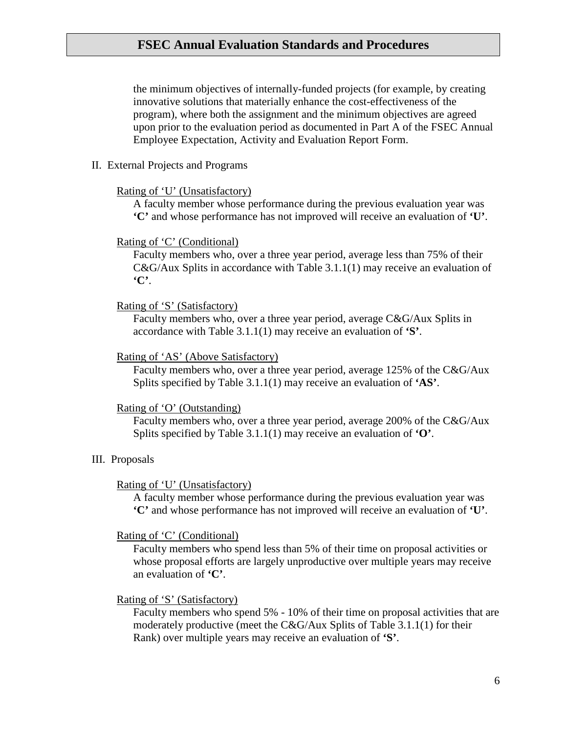the minimum objectives of internally-funded projects (for example, by creating innovative solutions that materially enhance the cost-effectiveness of the program), where both the assignment and the minimum objectives are agreed upon prior to the evaluation period as documented in Part A of the FSEC Annual Employee Expectation, Activity and Evaluation Report Form.

#### II. External Projects and Programs

#### Rating of 'U' (Unsatisfactory)

A faculty member whose performance during the previous evaluation year was **'C'** and whose performance has not improved will receive an evaluation of **'U'**.

#### Rating of 'C' (Conditional)

Faculty members who, over a three year period, average less than 75% of their C&G/Aux Splits in accordance with Table 3.1.1(1) may receive an evaluation of **'C'**.

#### Rating of 'S' (Satisfactory)

Faculty members who, over a three year period, average C&G/Aux Splits in accordance with Table 3.1.1(1) may receive an evaluation of **'S'**.

#### Rating of 'AS' (Above Satisfactory)

Faculty members who, over a three year period, average 125% of the C&G/Aux Splits specified by Table 3.1.1(1) may receive an evaluation of **'AS'**.

#### Rating of 'O' (Outstanding)

Faculty members who, over a three year period, average 200% of the C&G/Aux Splits specified by Table 3.1.1(1) may receive an evaluation of **'O'**.

#### III. Proposals

#### Rating of 'U' (Unsatisfactory)

A faculty member whose performance during the previous evaluation year was **'C'** and whose performance has not improved will receive an evaluation of **'U'**.

#### Rating of 'C' (Conditional)

Faculty members who spend less than 5% of their time on proposal activities or whose proposal efforts are largely unproductive over multiple years may receive an evaluation of **'C'**.

#### Rating of 'S' (Satisfactory)

Faculty members who spend 5% - 10% of their time on proposal activities that are moderately productive (meet the C&G/Aux Splits of Table 3.1.1(1) for their Rank) over multiple years may receive an evaluation of **'S'**.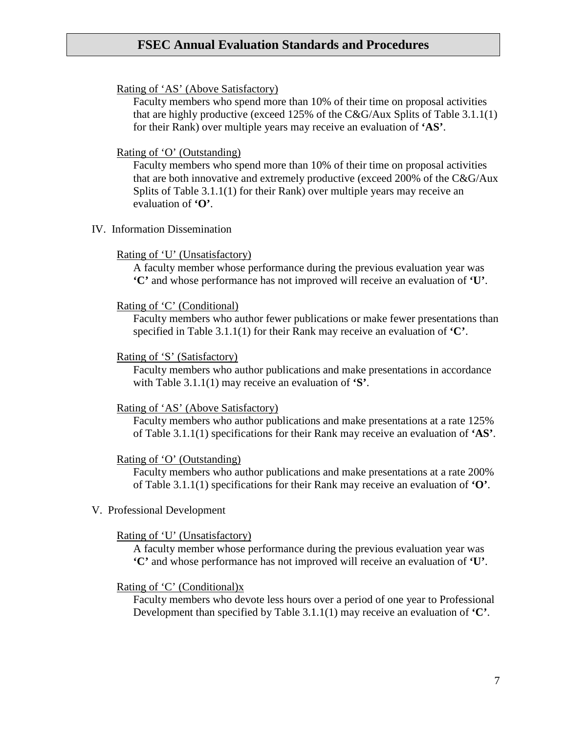#### Rating of 'AS' (Above Satisfactory)

Faculty members who spend more than 10% of their time on proposal activities that are highly productive (exceed 125% of the C&G/Aux Splits of Table 3.1.1(1) for their Rank) over multiple years may receive an evaluation of **'AS'**.

#### Rating of 'O' (Outstanding)

Faculty members who spend more than 10% of their time on proposal activities that are both innovative and extremely productive (exceed 200% of the C&G/Aux Splits of Table 3.1.1(1) for their Rank) over multiple years may receive an evaluation of **'O'**.

IV. Information Dissemination

#### Rating of 'U' (Unsatisfactory)

A faculty member whose performance during the previous evaluation year was **'C'** and whose performance has not improved will receive an evaluation of **'U'**.

#### Rating of 'C' (Conditional)

Faculty members who author fewer publications or make fewer presentations than specified in Table 3.1.1(1) for their Rank may receive an evaluation of **'C'**.

#### Rating of 'S' (Satisfactory)

Faculty members who author publications and make presentations in accordance with Table 3.1.1(1) may receive an evaluation of **'S'**.

#### Rating of 'AS' (Above Satisfactory)

Faculty members who author publications and make presentations at a rate 125% of Table 3.1.1(1) specifications for their Rank may receive an evaluation of **'AS'**.

#### Rating of 'O' (Outstanding)

Faculty members who author publications and make presentations at a rate 200% of Table 3.1.1(1) specifications for their Rank may receive an evaluation of **'O'**.

V. Professional Development

#### Rating of 'U' (Unsatisfactory)

A faculty member whose performance during the previous evaluation year was **'C'** and whose performance has not improved will receive an evaluation of **'U'**.

#### Rating of 'C' (Conditional)x

Faculty members who devote less hours over a period of one year to Professional Development than specified by Table 3.1.1(1) may receive an evaluation of **'C'**.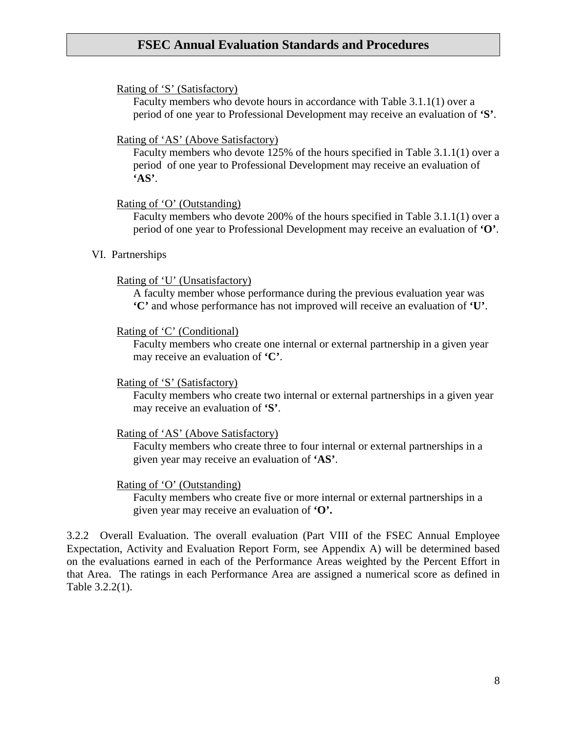#### Rating of 'S' (Satisfactory)

Faculty members who devote hours in accordance with Table 3.1.1(1) over a period of one year to Professional Development may receive an evaluation of **'S'**.

#### Rating of 'AS' (Above Satisfactory)

Faculty members who devote 125% of the hours specified in Table 3.1.1(1) over a period of one year to Professional Development may receive an evaluation of **'AS'**.

#### Rating of 'O' (Outstanding)

Faculty members who devote 200% of the hours specified in Table 3.1.1(1) over a period of one year to Professional Development may receive an evaluation of **'O'**.

#### VI. Partnerships

#### Rating of 'U' (Unsatisfactory)

A faculty member whose performance during the previous evaluation year was **'C'** and whose performance has not improved will receive an evaluation of **'U'**.

#### Rating of 'C' (Conditional)

Faculty members who create one internal or external partnership in a given year may receive an evaluation of **'C'**.

#### Rating of 'S' (Satisfactory)

Faculty members who create two internal or external partnerships in a given year may receive an evaluation of **'S'**.

#### Rating of 'AS' (Above Satisfactory)

Faculty members who create three to four internal or external partnerships in a given year may receive an evaluation of **'AS'**.

#### Rating of 'O' (Outstanding)

Faculty members who create five or more internal or external partnerships in a given year may receive an evaluation of **'O'.**

3.2.2 Overall Evaluation. The overall evaluation (Part VIII of the FSEC Annual Employee Expectation, Activity and Evaluation Report Form, see Appendix A) will be determined based on the evaluations earned in each of the Performance Areas weighted by the Percent Effort in that Area. The ratings in each Performance Area are assigned a numerical score as defined in Table 3.2.2(1).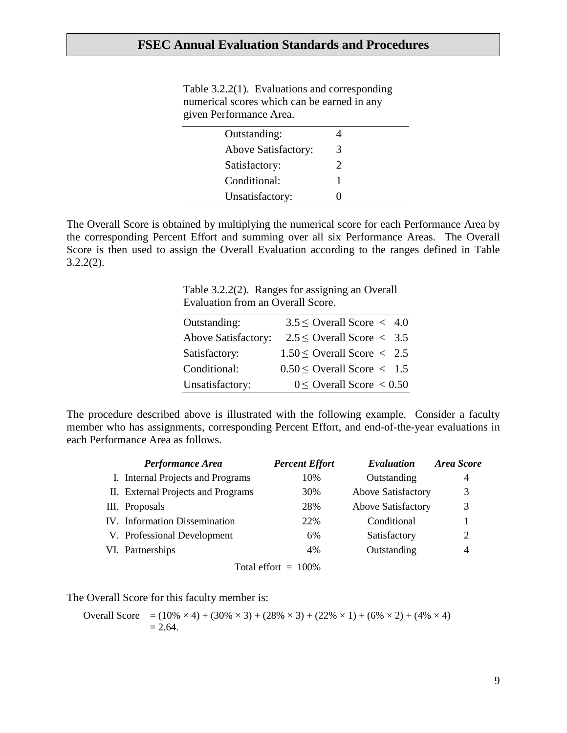| Table $3.2.2(1)$ . Evaluations and corresponding |
|--------------------------------------------------|
| numerical scores which can be earned in any      |
| given Performance Area.                          |

| Outstanding:        |   |  |
|---------------------|---|--|
| Above Satisfactory: | 3 |  |
| Satisfactory:       |   |  |
| Conditional:        |   |  |
| Unsatisfactory:     |   |  |

The Overall Score is obtained by multiplying the numerical score for each Performance Area by the corresponding Percent Effort and summing over all six Performance Areas. The Overall Score is then used to assign the Overall Evaluation according to the ranges defined in Table 3.2.2(2).

> Table 3.2.2(2). Ranges for assigning an Overall Evaluation from an Overall Score.

| Outstanding:               | $3.5 \le$ Overall Score < 4.0                   |  |
|----------------------------|-------------------------------------------------|--|
| <b>Above Satisfactory:</b> | $2.5 \le$ Overall Score < 3.5                   |  |
| Satisfactory:              | $1.50 \leq$ Overall Score $\langle 2.5 \rangle$ |  |
| Conditional:               | $0.50 \le$ Overall Score $\lt$ 1.5              |  |
| Unsatisfactory:            | $0 \le$ Overall Score $< 0.50$                  |  |

The procedure described above is illustrated with the following example. Consider a faculty member who has assignments, corresponding Percent Effort, and end-of-the-year evaluations in each Performance Area as follows.

| Performance Area                     | <b>Percent Effort</b>   | Evaluation                | Area Score |
|--------------------------------------|-------------------------|---------------------------|------------|
| I. Internal Projects and Programs    | 10%                     | Outstanding               | 4          |
| II. External Projects and Programs   | 30%                     | <b>Above Satisfactory</b> | 3          |
| III. Proposals                       | 28%                     | <b>Above Satisfactory</b> | 3          |
| <b>IV.</b> Information Dissemination | 22%                     | Conditional               |            |
| V. Professional Development          | 6%                      | Satisfactory              | 2          |
| VI. Partnerships                     | 4%                      | Outstanding               | 4          |
|                                      | $\mathbf{F}$ 1 cc 10001 |                           |            |

Total effort  $= 100\%$ 

The Overall Score for this faculty member is:

Overall Score = 
$$
(10\% \times 4) + (30\% \times 3) + (28\% \times 3) + (22\% \times 1) + (6\% \times 2) + (4\% \times 4)
$$
  
= 2.64.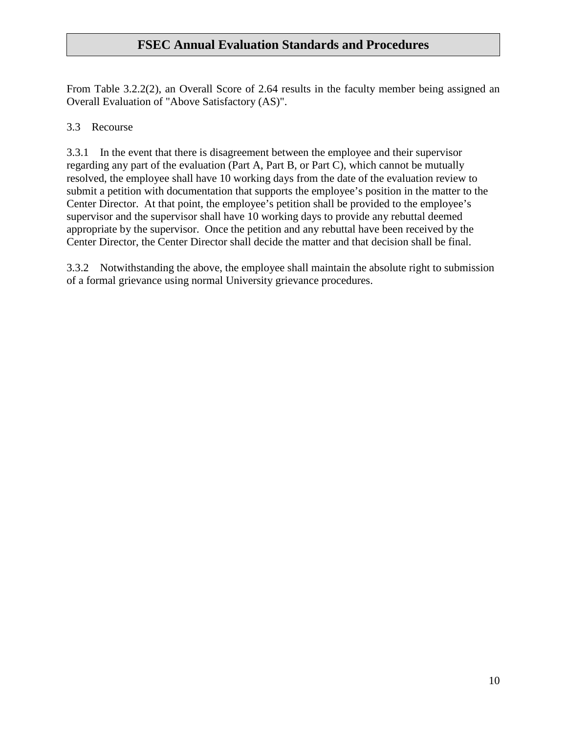From Table 3.2.2(2), an Overall Score of 2.64 results in the faculty member being assigned an Overall Evaluation of "Above Satisfactory (AS)".

## 3.3 Recourse

3.3.1 In the event that there is disagreement between the employee and their supervisor regarding any part of the evaluation (Part A, Part B, or Part C), which cannot be mutually resolved, the employee shall have 10 working days from the date of the evaluation review to submit a petition with documentation that supports the employee's position in the matter to the Center Director. At that point, the employee's petition shall be provided to the employee's supervisor and the supervisor shall have 10 working days to provide any rebuttal deemed appropriate by the supervisor. Once the petition and any rebuttal have been received by the Center Director, the Center Director shall decide the matter and that decision shall be final.

3.3.2 Notwithstanding the above, the employee shall maintain the absolute right to submission of a formal grievance using normal University grievance procedures.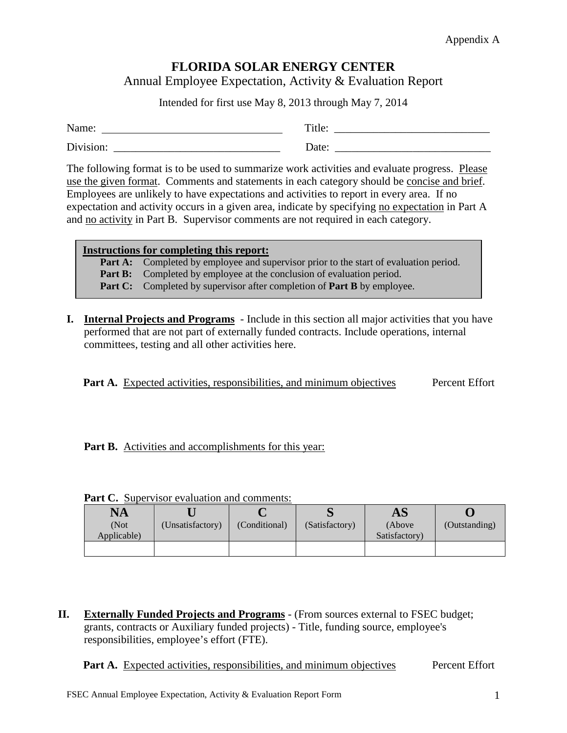# **FLORIDA SOLAR ENERGY CENTER**

Annual Employee Expectation, Activity & Evaluation Report

Intended for first use May 8, 2013 through May 7, 2014

| Name:     | Title: |
|-----------|--------|
| Division: | Date:  |

The following format is to be used to summarize work activities and evaluate progress. Please use the given format. Comments and statements in each category should be concise and brief. Employees are unlikely to have expectations and activities to report in every area. If no expectation and activity occurs in a given area, indicate by specifying no expectation in Part A and no activity in Part B. Supervisor comments are not required in each category.

#### **Instructions for completing this report:**

**Part A:** Completed by employee and supervisor prior to the start of evaluation period.

**Part B:** Completed by employee at the conclusion of evaluation period.

**Part C:** Completed by supervisor after completion of **Part B** by employee.

**I. Internal Projects and Programs** - Include in this section all major activities that you have performed that are not part of externally funded contracts. Include operations, internal committees, testing and all other activities here.

**Part A.** Expected activities, responsibilities, and minimum objectives Percent Effort

**Part B.** Activities and accomplishments for this year:

| $\mathbf{NA}$       |                  |               |                | $\mathbf{A}\mathbf{S}$   |               |
|---------------------|------------------|---------------|----------------|--------------------------|---------------|
| (Not<br>Applicable) | (Unsatisfactory) | (Conditional) | (Satisfactory) | (Above)<br>Satisfactory) | (Outstanding) |
|                     |                  |               |                |                          |               |

**Part C.** Supervisor evaluation and comments:

**II. Externally Funded Projects and Programs** - (From sources external to FSEC budget; grants, contracts or Auxiliary funded projects) - Title, funding source, employee's responsibilities, employee's effort (FTE).

**Part A.** Expected activities, responsibilities, and minimum objectives Percent Effort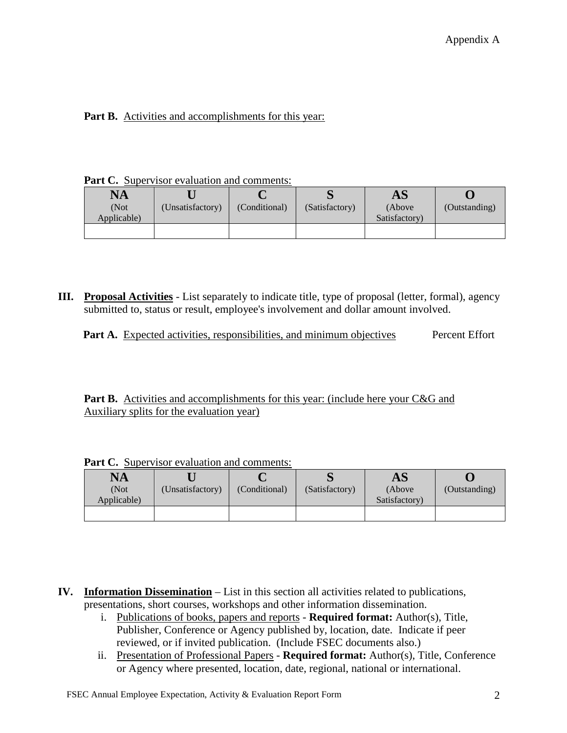# Part B. Activities and accomplishments for this year:

Part C. Supervisor evaluation and comments:

| <b>NA</b>           |                  |               |                | AS                       |               |
|---------------------|------------------|---------------|----------------|--------------------------|---------------|
| (Not<br>Applicable) | (Unsatisfactory) | (Conditional) | (Satisfactory) | (Above)<br>Satisfactory) | (Outstanding) |
|                     |                  |               |                |                          |               |

**III. Proposal Activities** - List separately to indicate title, type of proposal (letter, formal), agency submitted to, status or result, employee's involvement and dollar amount involved.

|  | <b>Part A.</b> Expected activities, responsibilities, and minimum objectives |  | Percent Effort |
|--|------------------------------------------------------------------------------|--|----------------|
|  |                                                                              |  |                |

**Part B.** Activities and accomplishments for this year: (include here your C&G and Auxiliary splits for the evaluation year)

| $\mathbf{NA}$<br>(Not<br>Applicable) | (Unsatisfactory) | (Conditional) | (Satisfactory) | $\mathbf{A}\mathbf{S}$<br>(Above)<br>Satisfactory) | (Outstanding) |
|--------------------------------------|------------------|---------------|----------------|----------------------------------------------------|---------------|
|                                      |                  |               |                |                                                    |               |

Part C. Supervisor evaluation and comments:

- **IV. Information Dissemination** List in this section all activities related to publications, presentations, short courses, workshops and other information dissemination.
	- i. Publications of books, papers and reports **Required format:** Author(s), Title, Publisher, Conference or Agency published by, location, date. Indicate if peer reviewed, or if invited publication. (Include FSEC documents also.)
	- ii. Presentation of Professional Papers **Required format:** Author(s), Title, Conference or Agency where presented, location, date, regional, national or international.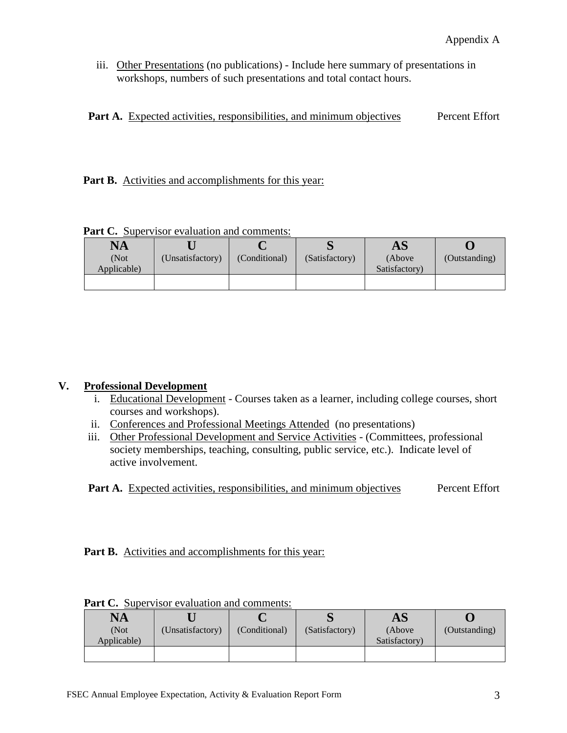iii. Other Presentations (no publications) - Include here summary of presentations in workshops, numbers of such presentations and total contact hours.

|  | <b>Part A.</b> Expected activities, responsibilities, and minimum objectives |  |  | Percent Effort |  |
|--|------------------------------------------------------------------------------|--|--|----------------|--|
|  |                                                                              |  |  |                |  |

Part B. Activities and accomplishments for this year:

**Part C.** Supervisor evaluation and comments:

| NA          |                  |               |                | AS            |               |
|-------------|------------------|---------------|----------------|---------------|---------------|
| (Not        | (Unsatisfactory) | (Conditional) | (Satisfactory) | (Above)       | (Outstanding) |
| Applicable) |                  |               |                | Satisfactory) |               |
|             |                  |               |                |               |               |

# **V. Professional Development**

- i. Educational Development Courses taken as a learner, including college courses, short courses and workshops).
- ii. Conferences and Professional Meetings Attended (no presentations)
- iii. Other Professional Development and Service Activities (Committees, professional society memberships, teaching, consulting, public service, etc.). Indicate level of active involvement.

**Part A.** Expected activities, responsibilities, and minimum objectives Percent Effort

Part B. Activities and accomplishments for this year:

| (Outstanding) |
|---------------|
|               |
|               |
|               |

**Part C.** Supervisor evaluation and comments: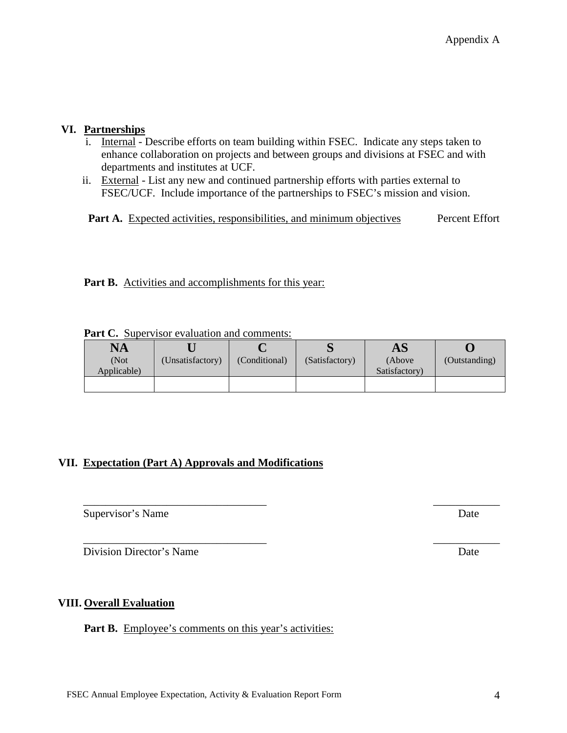# **VI. Partnerships**

- i. Internal Describe efforts on team building within FSEC. Indicate any steps taken to enhance collaboration on projects and between groups and divisions at FSEC and with departments and institutes at UCF.
- ii. External List any new and continued partnership efforts with parties external to FSEC/UCF. Include importance of the partnerships to FSEC's mission and vision.

**Part A.** Expected activities, responsibilities, and minimum objectives Percent Effort

Part B. Activities and accomplishments for this year:

| <b>NA</b>   |                  |               |                | $\mathbf{A}\mathbf{S}$ |               |
|-------------|------------------|---------------|----------------|------------------------|---------------|
| (Not        | (Unsatisfactory) | (Conditional) | (Satisfactory) | (Above)                | (Outstanding) |
| Applicable) |                  |               |                | Satisfactory)          |               |
|             |                  |               |                |                        |               |

\_\_\_\_\_\_\_\_\_\_\_\_\_\_\_\_\_\_\_\_\_\_\_\_\_\_\_\_\_\_\_\_\_ \_\_\_\_\_\_\_\_\_\_\_\_

**Part C.** Supervisor evaluation and comments:

# **VII. Expectation (Part A) Approvals and Modifications**

Supervisor's Name Date

Division Director's Name Date

# **VIII. Overall Evaluation**

Part B. Employee's comments on this year's activities: